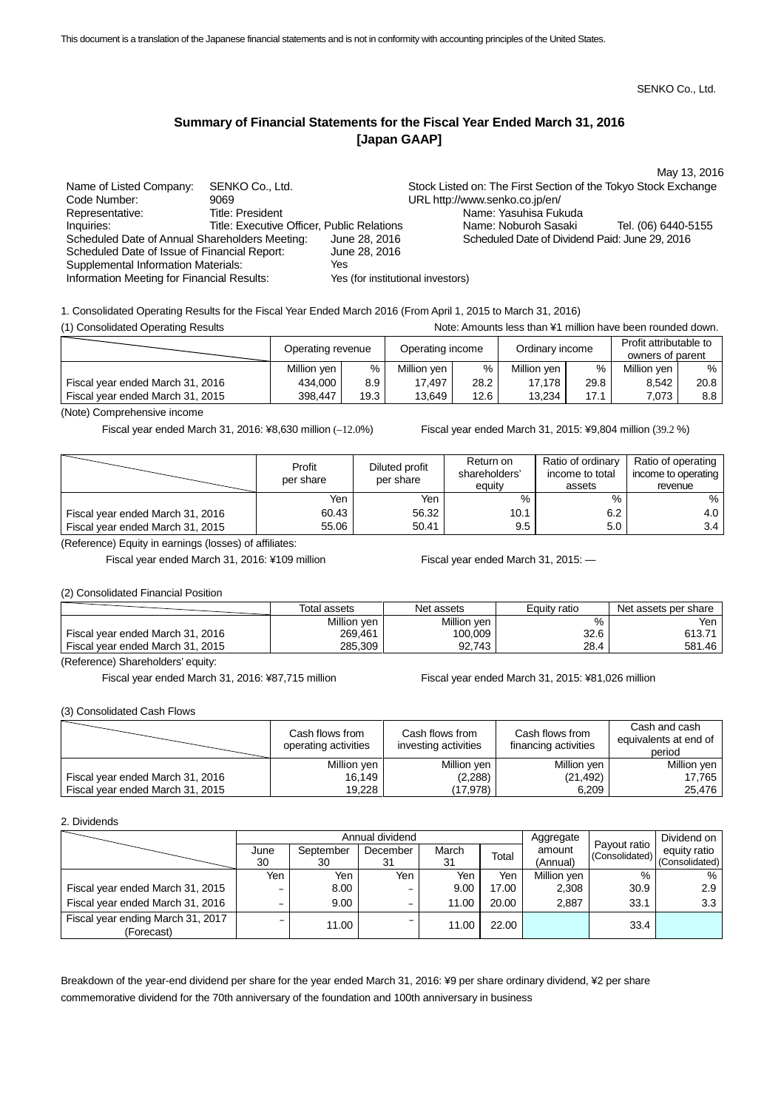# **Summary of Financial Statements for the Fiscal Year Ended March 31, 2016 [Japan GAAP]**

|                                                |                                            |                                   |                                                                | May 13, 2016        |
|------------------------------------------------|--------------------------------------------|-----------------------------------|----------------------------------------------------------------|---------------------|
| Name of Listed Company:                        | SENKO Co., Ltd.                            |                                   | Stock Listed on: The First Section of the Tokyo Stock Exchange |                     |
| Code Number:                                   | 9069                                       |                                   | URL http://www.senko.co.jp/en/                                 |                     |
| Representative:                                | Title: President                           |                                   | Name: Yasuhisa Fukuda                                          |                     |
| Inquiries:                                     | Title: Executive Officer, Public Relations |                                   | Name: Noburoh Sasaki                                           | Tel. (06) 6440-5155 |
| Scheduled Date of Annual Shareholders Meeting: |                                            | June 28, 2016                     | Scheduled Date of Dividend Paid: June 29, 2016                 |                     |
| Scheduled Date of Issue of Financial Report:   |                                            | June 28, 2016                     |                                                                |                     |
| <b>Supplemental Information Materials:</b>     |                                            | Yes                               |                                                                |                     |
| Information Meeting for Financial Results:     |                                            | Yes (for institutional investors) |                                                                |                     |

1. Consolidated Operating Results for the Fiscal Year Ended March 2016 (From April 1, 2015 to March 31, 2016)

(1) Consolidated Operating Results **Note:** Amounts less than ¥1 million have been rounded down.

|                                  | Operating revenue |      | Operating income |      | Ordinary income |      | Profit attributable to<br>owners of parent |                  |
|----------------------------------|-------------------|------|------------------|------|-----------------|------|--------------------------------------------|------------------|
|                                  | Million yen       | %    | Million yen      | %    | Million yen     | ℅    | Million yen                                | $%$ 1            |
| Fiscal year ended March 31, 2016 | 434,000           | 8.9  | 17,497           | 28.2 | 17.178          | 29.8 | 8.542                                      | 20.8             |
| Fiscal year ended March 31, 2015 | 398,447           | 19.3 | 13,649           | 12.6 | 13.234          | 17.1 | 7.073                                      | 8.8 <sub>1</sub> |

(Note) Comprehensive income

Fiscal year ended March 31, 2016: ¥8,630 million (–12.0%) Fiscal year ended March 31, 2015: ¥9,804 million (39.2 %)

|                                  | Profit<br>per share | Diluted profit<br>per share | Return on<br>shareholders'<br>equity | Ratio of ordinary<br>income to total<br>assets | Ratio of operating  <br>income to operating<br>revenue |
|----------------------------------|---------------------|-----------------------------|--------------------------------------|------------------------------------------------|--------------------------------------------------------|
|                                  | Yen                 | Yen                         | %                                    | %                                              | $%$ 1                                                  |
| Fiscal year ended March 31, 2016 | 60.43               | 56.32                       | 10.1                                 | 6.2                                            | 4.0 <sub>1</sub>                                       |
| Fiscal year ended March 31, 2015 | 55.06               | 50.41                       | 9.5                                  | 5.0                                            | 3.4                                                    |

(Reference) Equity in earnings (losses) of affiliates:

Fiscal year ended March 31, 2016: ¥109 million Fiscal year ended March 31, 2015: —

(2) Consolidated Financial Position

|                                  | Total assets | Net assets  | Equity ratio | Net assets per share |
|----------------------------------|--------------|-------------|--------------|----------------------|
|                                  | Million yen  | Million yen | %            | Yen                  |
| Fiscal year ended March 31, 2016 | 269,461      | 100,009     | 32.6         | 613.71               |
| Fiscal year ended March 31, 2015 | 285,309      | 92.743      | 28.4         | 581.46               |

(Reference) Shareholders' equity:

Fiscal year ended March 31, 2016: ¥87,715 million Fiscal year ended March 31, 2015: ¥81,026 million

(3) Consolidated Cash Flows

|                                  | Cash flows from<br>operating activities | Cash flows from<br>investing activities | Cash flows from<br>financing activities | Cash and cash<br>equivalents at end of<br>period |
|----------------------------------|-----------------------------------------|-----------------------------------------|-----------------------------------------|--------------------------------------------------|
|                                  | Million yen                             | Million yen                             | Million yen                             | Million yen                                      |
| Fiscal year ended March 31, 2016 | 16,149                                  | (2, 288)                                | (21, 492)                               | 17,765                                           |
| Fiscal year ended March 31, 2015 | 19,228                                  | (17, 978)                               | 6,209                                   | 25.476                                           |

2. Dividends

|                                                 |      |           | Annual dividend |       | Aggregate |             | Dividend on                    |                |
|-------------------------------------------------|------|-----------|-----------------|-------|-----------|-------------|--------------------------------|----------------|
|                                                 | June | September | December        | March | Total     | amount      | Payout ratio<br>(Consolidated) | equity ratio   |
|                                                 | 30   | 30        | 31              | 31    |           | (Annual)    |                                | (Consolidated) |
|                                                 | Yen  | Yen       | Yen             | Yen   | Yen       | Million yen | %                              | %              |
| Fiscal year ended March 31, 2015                | -    | 8.00      | -               | 9.00  | 17.00     | 2,308       | 30.9                           | 2.9            |
| Fiscal year ended March 31, 2016                |      | 9.00      | -               | 11.00 | 20.00     | 2,887       | 33.1                           | 3.3            |
| Fiscal year ending March 31, 2017<br>(Forecast) |      | 11.00     |                 | 11.00 | 22.00     |             | 33.4                           |                |

Breakdown of the year-end dividend per share for the year ended March 31, 2016: ¥9 per share ordinary dividend, ¥2 per share commemorative dividend for the 70th anniversary of the foundation and 100th anniversary in business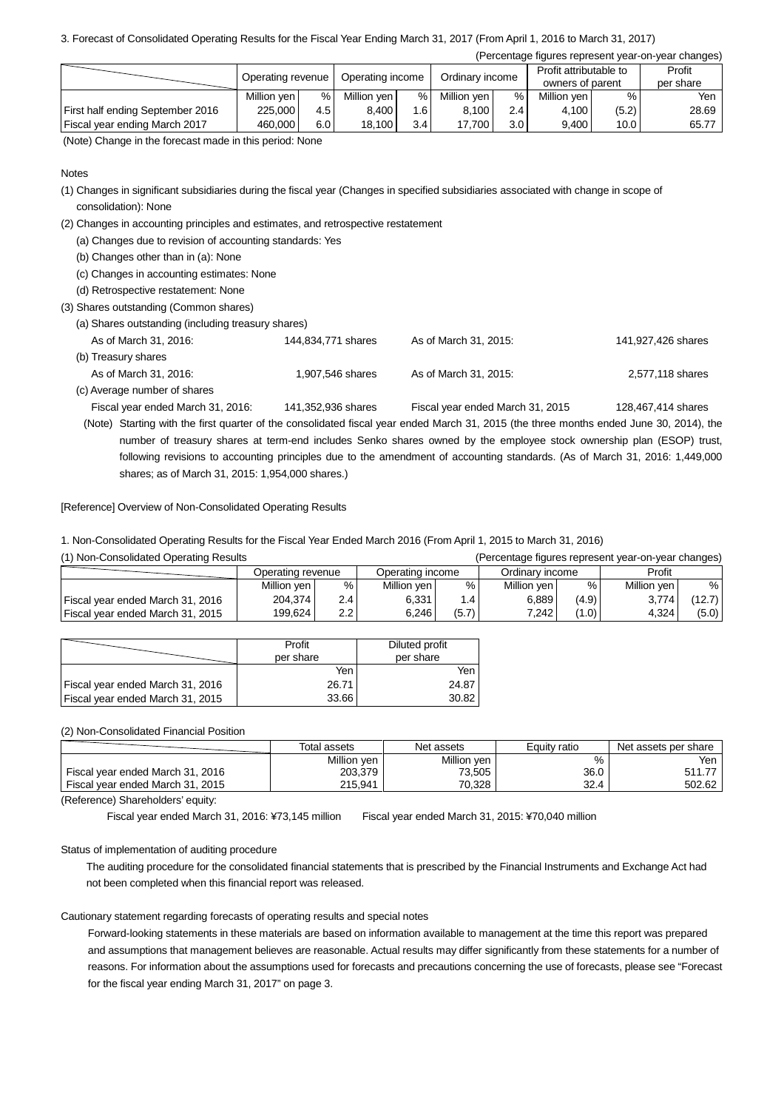## 3. Forecast of Consolidated Operating Results for the Fiscal Year Ending March 31, 2017 (From April 1, 2016 to March 31, 2017)

(Percentage figures represent year-on-year changes)

|                                  | Operating revenue |     | Operating income |     | Ordinary income |                  | Profit attributable to<br>owners of parent |       | Profit<br>per share |
|----------------------------------|-------------------|-----|------------------|-----|-----------------|------------------|--------------------------------------------|-------|---------------------|
|                                  | Million yen       | ℅   | Million yen      | %   | Million ven     | %                | Million yen                                | %     | Yen                 |
| First half ending September 2016 | 225,000           | 4.5 | 8.400            | 1.6 | 8,100           | 2.4              | 4,100                                      | (5.2) | 28.69               |
| Fiscal year ending March 2017    | 460.000           | 6.0 | 18,100           | 3.4 | 17,700          | 3.0 <sub>1</sub> | 9,400                                      | 10.0  | 65.77               |

(Note) Change in the forecast made in this period: None

## **Notes**

- (1) Changes in significant subsidiaries during the fiscal year (Changes in specified subsidiaries associated with change in scope of consolidation): None
- (2) Changes in accounting principles and estimates, and retrospective restatement
	- (a) Changes due to revision of accounting standards: Yes
	- (b) Changes other than in (a): None
	- (c) Changes in accounting estimates: None
	- (d) Retrospective restatement: None
- (3) Shares outstanding (Common shares)
	- (a) Shares outstanding (including treasury shares)

| As of March 31, 2016:             | 144,834,771 shares | As of March 31, 2015:            | 141,927,426 shares |
|-----------------------------------|--------------------|----------------------------------|--------------------|
| (b) Treasury shares               |                    |                                  |                    |
| As of March 31, 2016:             | 1,907,546 shares   | As of March 31, 2015:            | 2,577,118 shares   |
| (c) Average number of shares      |                    |                                  |                    |
| Fiscal year ended March 31, 2016: | 141,352,936 shares | Fiscal year ended March 31, 2015 | 128,467,414 shares |

(Note) Starting with the first quarter of the consolidated fiscal year ended March 31, 2015 (the three months ended June 30, 2014), the number of treasury shares at term-end includes Senko shares owned by the employee stock ownership plan (ESOP) trust, following revisions to accounting principles due to the amendment of accounting standards. (As of March 31, 2016: 1,449,000 shares; as of March 31, 2015: 1,954,000 shares.)

[Reference] Overview of Non-Consolidated Operating Results

1. Non-Consolidated Operating Results for the Fiscal Year Ended March 2016 (From April 1, 2015 to March 31, 2016)

| (1) Non-Consolidated Operating Results |                   | (Percentage figures represent year-on-year changes) |                  |       |                 |       |             |        |
|----------------------------------------|-------------------|-----------------------------------------------------|------------------|-------|-----------------|-------|-------------|--------|
|                                        | Operating revenue |                                                     | Operating income |       | Ordinary income |       | Profit      |        |
|                                        | Million yen       | %                                                   | Million yen      | %     | Million yen     | %     | Million yen | %      |
| Fiscal year ended March 31, 2016       | 204,374           | 2.4                                                 | 6.331            | 1.4   | 6.889           | (4.9) | 3.774       | (12.7) |
| Fiscal year ended March 31, 2015       | 199,624           | 2.2                                                 | 6,246            | (5.7) | 7.242           | (1.0) | 4,324       | (5.0)  |

|                                  | Profit    | Diluted profit |
|----------------------------------|-----------|----------------|
|                                  | per share | per share      |
|                                  | Yen       | Yen            |
| Fiscal year ended March 31, 2016 | 26.71     | 24.87          |
| Fiscal year ended March 31, 2015 | 33.66     | 30.82          |

### (2) Non-Consolidated Financial Position

|                                  | Total assets | Net assets  | Equity ratio | Net assets per share |
|----------------------------------|--------------|-------------|--------------|----------------------|
|                                  | Million yen  | Million yen | %            | Yen                  |
| Fiscal year ended March 31, 2016 | 203,379      | 73,505      | 36.0         | 511.77               |
| Fiscal year ended March 31, 2015 | 215.941      | 70,328      | 32.4         | 502.62               |

(Reference) Shareholders' equity:

Fiscal year ended March 31, 2016: ¥73,145 million Fiscal year ended March 31, 2015: ¥70,040 million

## Status of implementation of auditing procedure

The auditing procedure for the consolidated financial statements that is prescribed by the Financial Instruments and Exchange Act had not been completed when this financial report was released.

## Cautionary statement regarding forecasts of operating results and special notes

Forward-looking statements in these materials are based on information available to management at the time this report was prepared and assumptions that management believes are reasonable. Actual results may differ significantly from these statements for a number of reasons. For information about the assumptions used for forecasts and precautions concerning the use of forecasts, please see "Forecast for the fiscal year ending March 31, 2017" on page 3.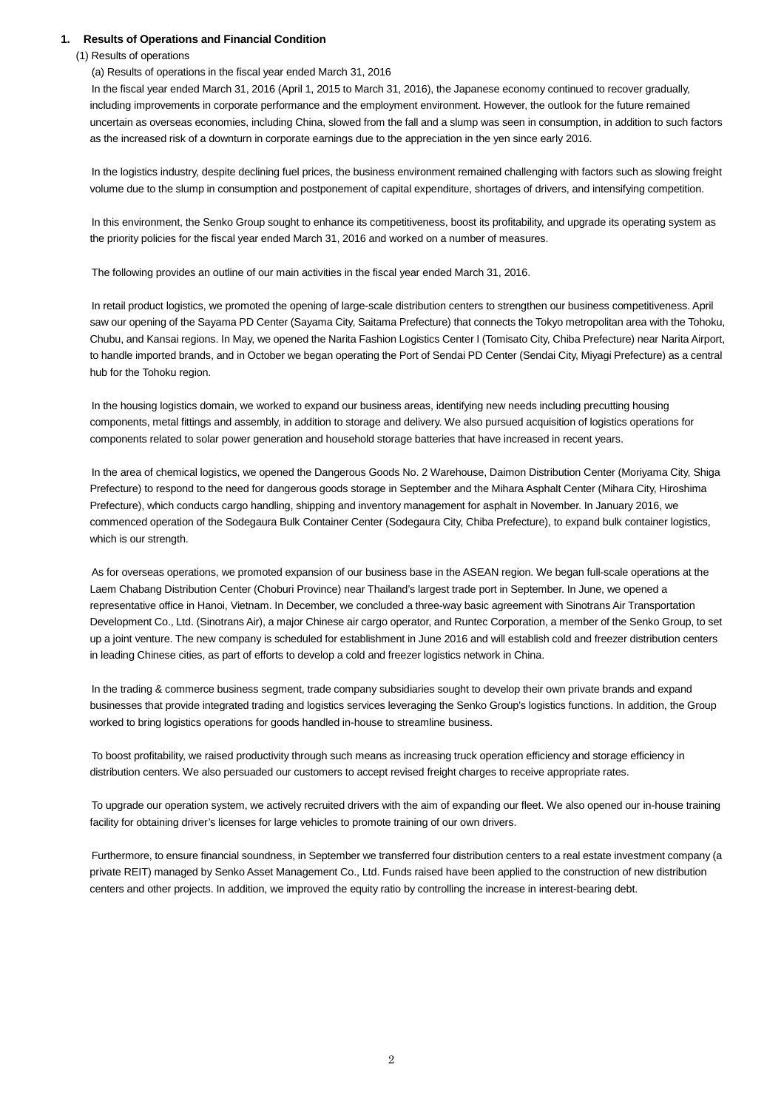## **1. Results of Operations and Financial Condition**

#### (1) Results of operations

## (a) Results of operations in the fiscal year ended March 31, 2016

In the fiscal year ended March 31, 2016 (April 1, 2015 to March 31, 2016), the Japanese economy continued to recover gradually, including improvements in corporate performance and the employment environment. However, the outlook for the future remained uncertain as overseas economies, including China, slowed from the fall and a slump was seen in consumption, in addition to such factors as the increased risk of a downturn in corporate earnings due to the appreciation in the yen since early 2016.

In the logistics industry, despite declining fuel prices, the business environment remained challenging with factors such as slowing freight volume due to the slump in consumption and postponement of capital expenditure, shortages of drivers, and intensifying competition.

In this environment, the Senko Group sought to enhance its competitiveness, boost its profitability, and upgrade its operating system as the priority policies for the fiscal year ended March 31, 2016 and worked on a number of measures.

The following provides an outline of our main activities in the fiscal year ended March 31, 2016.

In retail product logistics, we promoted the opening of large-scale distribution centers to strengthen our business competitiveness. April saw our opening of the Sayama PD Center (Sayama City, Saitama Prefecture) that connects the Tokyo metropolitan area with the Tohoku, Chubu, and Kansai regions. In May, we opened the Narita Fashion Logistics Center I (Tomisato City, Chiba Prefecture) near Narita Airport, to handle imported brands, and in October we began operating the Port of Sendai PD Center (Sendai City, Miyagi Prefecture) as a central hub for the Tohoku region.

In the housing logistics domain, we worked to expand our business areas, identifying new needs including precutting housing components, metal fittings and assembly, in addition to storage and delivery. We also pursued acquisition of logistics operations for components related to solar power generation and household storage batteries that have increased in recent years.

In the area of chemical logistics, we opened the Dangerous Goods No. 2 Warehouse, Daimon Distribution Center (Moriyama City, Shiga Prefecture) to respond to the need for dangerous goods storage in September and the Mihara Asphalt Center (Mihara City, Hiroshima Prefecture), which conducts cargo handling, shipping and inventory management for asphalt in November. In January 2016, we commenced operation of the Sodegaura Bulk Container Center (Sodegaura City, Chiba Prefecture), to expand bulk container logistics, which is our strength.

As for overseas operations, we promoted expansion of our business base in the ASEAN region. We began full-scale operations at the Laem Chabang Distribution Center (Choburi Province) near Thailand's largest trade port in September. In June, we opened a representative office in Hanoi, Vietnam. In December, we concluded a three-way basic agreement with Sinotrans Air Transportation Development Co., Ltd. (Sinotrans Air), a major Chinese air cargo operator, and Runtec Corporation, a member of the Senko Group, to set up a joint venture. The new company is scheduled for establishment in June 2016 and will establish cold and freezer distribution centers in leading Chinese cities, as part of efforts to develop a cold and freezer logistics network in China.

In the trading & commerce business segment, trade company subsidiaries sought to develop their own private brands and expand businesses that provide integrated trading and logistics services leveraging the Senko Group's logistics functions. In addition, the Group worked to bring logistics operations for goods handled in-house to streamline business.

To boost profitability, we raised productivity through such means as increasing truck operation efficiency and storage efficiency in distribution centers. We also persuaded our customers to accept revised freight charges to receive appropriate rates.

To upgrade our operation system, we actively recruited drivers with the aim of expanding our fleet. We also opened our in-house training facility for obtaining driver's licenses for large vehicles to promote training of our own drivers.

Furthermore, to ensure financial soundness, in September we transferred four distribution centers to a real estate investment company (a private REIT) managed by Senko Asset Management Co., Ltd. Funds raised have been applied to the construction of new distribution centers and other projects. In addition, we improved the equity ratio by controlling the increase in interest-bearing debt.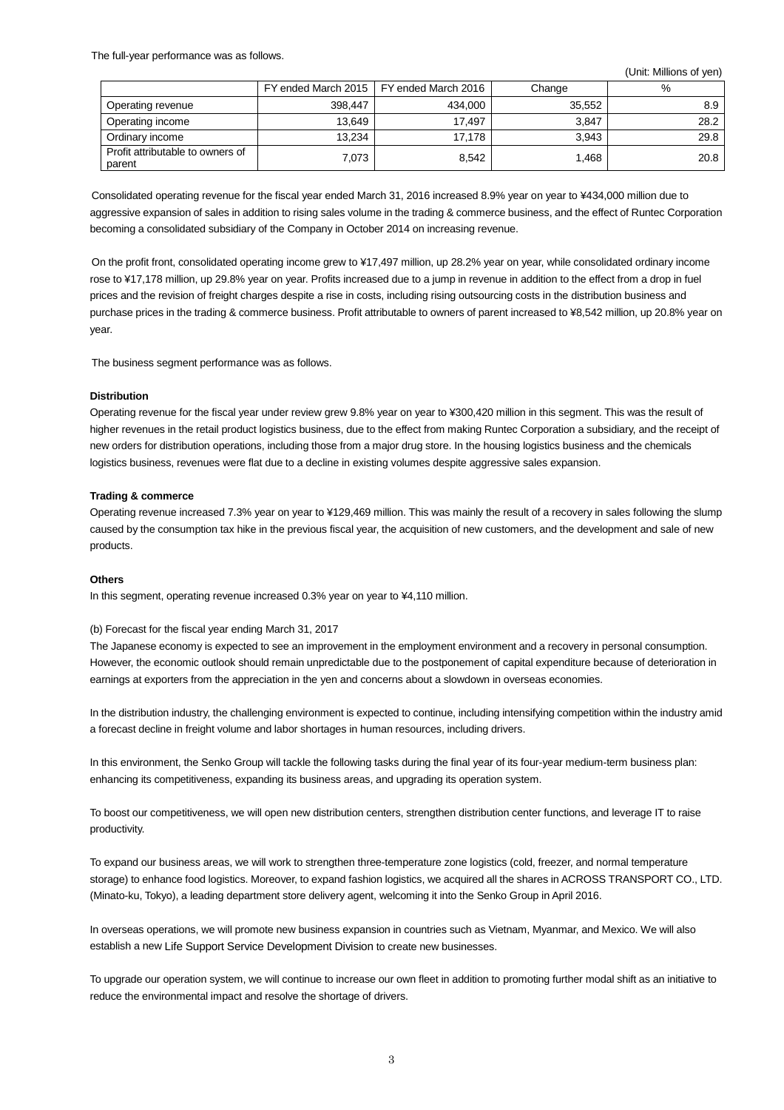The full-year performance was as follows.

(Unit: Millions of yen)

|                                            |         | FY ended March 2015   FY ended March 2016 | Change | %    |
|--------------------------------------------|---------|-------------------------------------------|--------|------|
| Operating revenue                          | 398,447 | 434.000                                   | 35,552 | 8.9  |
| Operating income                           | 13,649  | 17,497                                    | 3,847  | 28.2 |
| Ordinary income                            | 13,234  | 17,178                                    | 3,943  | 29.8 |
| Profit attributable to owners of<br>parent | 7,073   | 8,542                                     | 1,468  | 20.8 |

Consolidated operating revenue for the fiscal year ended March 31, 2016 increased 8.9% year on year to ¥434,000 million due to aggressive expansion of sales in addition to rising sales volume in the trading & commerce business, and the effect of Runtec Corporation becoming a consolidated subsidiary of the Company in October 2014 on increasing revenue.

On the profit front, consolidated operating income grew to ¥17,497 million, up 28.2% year on year, while consolidated ordinary income rose to ¥17,178 million, up 29.8% year on year. Profits increased due to a jump in revenue in addition to the effect from a drop in fuel prices and the revision of freight charges despite a rise in costs, including rising outsourcing costs in the distribution business and purchase prices in the trading & commerce business. Profit attributable to owners of parent increased to ¥8,542 million, up 20.8% year on year.

The business segment performance was as follows.

#### **Distribution**

Operating revenue for the fiscal year under review grew 9.8% year on year to ¥300,420 million in this segment. This was the result of higher revenues in the retail product logistics business, due to the effect from making Runtec Corporation a subsidiary, and the receipt of new orders for distribution operations, including those from a major drug store. In the housing logistics business and the chemicals logistics business, revenues were flat due to a decline in existing volumes despite aggressive sales expansion.

#### **Trading & commerce**

Operating revenue increased 7.3% year on year to ¥129,469 million. This was mainly the result of a recovery in sales following the slump caused by the consumption tax hike in the previous fiscal year, the acquisition of new customers, and the development and sale of new products.

#### **Others**

In this segment, operating revenue increased 0.3% year on year to ¥4,110 million.

### (b) Forecast for the fiscal year ending March 31, 2017

The Japanese economy is expected to see an improvement in the employment environment and a recovery in personal consumption. However, the economic outlook should remain unpredictable due to the postponement of capital expenditure because of deterioration in earnings at exporters from the appreciation in the yen and concerns about a slowdown in overseas economies.

In the distribution industry, the challenging environment is expected to continue, including intensifying competition within the industry amid a forecast decline in freight volume and labor shortages in human resources, including drivers.

In this environment, the Senko Group will tackle the following tasks during the final year of its four-year medium-term business plan: enhancing its competitiveness, expanding its business areas, and upgrading its operation system.

To boost our competitiveness, we will open new distribution centers, strengthen distribution center functions, and leverage IT to raise productivity.

To expand our business areas, we will work to strengthen three-temperature zone logistics (cold, freezer, and normal temperature storage) to enhance food logistics. Moreover, to expand fashion logistics, we acquired all the shares in ACROSS TRANSPORT CO., LTD. (Minato-ku, Tokyo), a leading department store delivery agent, welcoming it into the Senko Group in April 2016.

In overseas operations, we will promote new business expansion in countries such as Vietnam, Myanmar, and Mexico. We will also establish a new Life Support Service Development Division to create new businesses.

To upgrade our operation system, we will continue to increase our own fleet in addition to promoting further modal shift as an initiative to reduce the environmental impact and resolve the shortage of drivers.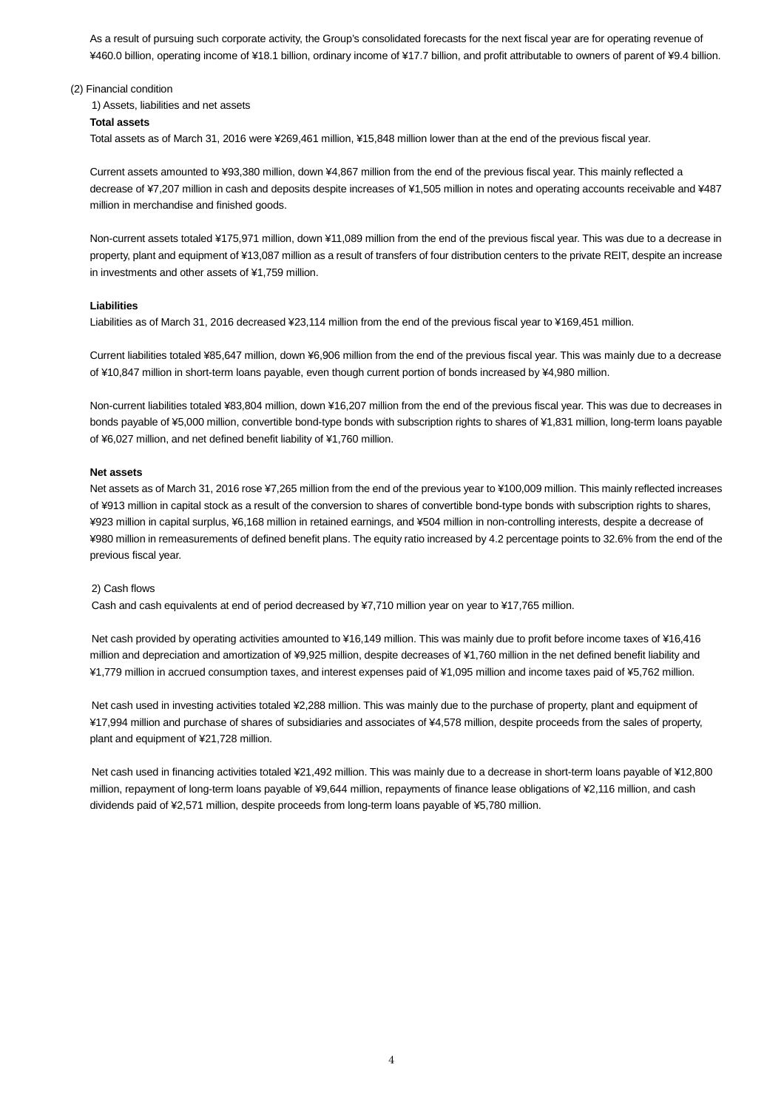As a result of pursuing such corporate activity, the Group's consolidated forecasts for the next fiscal year are for operating revenue of ¥460.0 billion, operating income of ¥18.1 billion, ordinary income of ¥17.7 billion, and profit attributable to owners of parent of ¥9.4 billion.

#### (2) Financial condition

1) Assets, liabilities and net assets **Total assets** Total assets as of March 31, 2016 were ¥269,461 million, ¥15,848 million lower than at the end of the previous fiscal year.

Current assets amounted to ¥93,380 million, down ¥4,867 million from the end of the previous fiscal year. This mainly reflected a decrease of ¥7,207 million in cash and deposits despite increases of ¥1,505 million in notes and operating accounts receivable and ¥487 million in merchandise and finished goods.

Non-current assets totaled ¥175,971 million, down ¥11,089 million from the end of the previous fiscal year. This was due to a decrease in property, plant and equipment of ¥13,087 million as a result of transfers of four distribution centers to the private REIT, despite an increase in investments and other assets of ¥1,759 million.

#### **Liabilities**

Liabilities as of March 31, 2016 decreased ¥23,114 million from the end of the previous fiscal year to ¥169,451 million.

Current liabilities totaled ¥85,647 million, down ¥6,906 million from the end of the previous fiscal year. This was mainly due to a decrease of ¥10,847 million in short-term loans payable, even though current portion of bonds increased by ¥4,980 million.

Non-current liabilities totaled ¥83,804 million, down ¥16,207 million from the end of the previous fiscal year. This was due to decreases in bonds payable of ¥5,000 million, convertible bond-type bonds with subscription rights to shares of ¥1,831 million, long-term loans payable of ¥6,027 million, and net defined benefit liability of ¥1,760 million.

#### **Net assets**

Net assets as of March 31, 2016 rose ¥7,265 million from the end of the previous year to ¥100,009 million. This mainly reflected increases of ¥913 million in capital stock as a result of the conversion to shares of convertible bond-type bonds with subscription rights to shares, ¥923 million in capital surplus, ¥6,168 million in retained earnings, and ¥504 million in non-controlling interests, despite a decrease of ¥980 million in remeasurements of defined benefit plans. The equity ratio increased by 4.2 percentage points to 32.6% from the end of the previous fiscal year.

#### 2) Cash flows

Cash and cash equivalents at end of period decreased by ¥7,710 million year on year to ¥17,765 million.

Net cash provided by operating activities amounted to ¥16,149 million. This was mainly due to profit before income taxes of ¥16,416 million and depreciation and amortization of ¥9,925 million, despite decreases of ¥1,760 million in the net defined benefit liability and ¥1,779 million in accrued consumption taxes, and interest expenses paid of ¥1,095 million and income taxes paid of ¥5,762 million.

Net cash used in investing activities totaled ¥2,288 million. This was mainly due to the purchase of property, plant and equipment of ¥17,994 million and purchase of shares of subsidiaries and associates of ¥4,578 million, despite proceeds from the sales of property, plant and equipment of ¥21,728 million.

Net cash used in financing activities totaled ¥21,492 million. This was mainly due to a decrease in short-term loans payable of ¥12,800 million, repayment of long-term loans payable of ¥9,644 million, repayments of finance lease obligations of ¥2,116 million, and cash dividends paid of ¥2,571 million, despite proceeds from long-term loans payable of ¥5,780 million.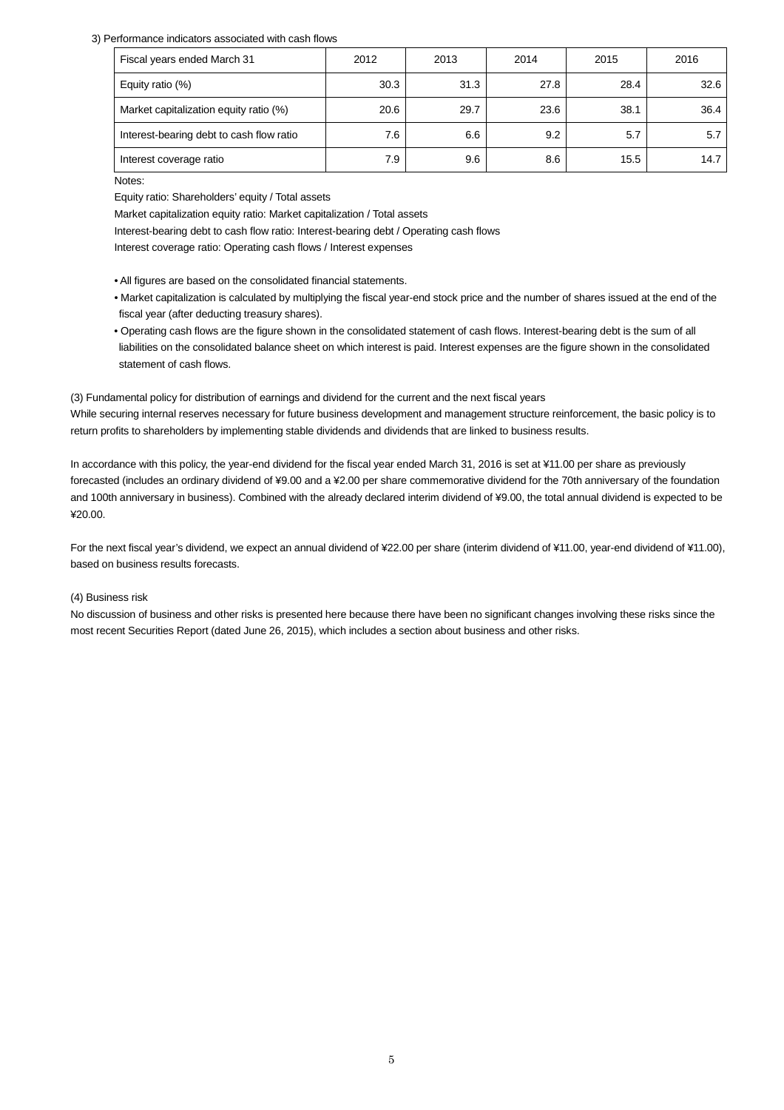#### 3) Performance indicators associated with cash flows

| Fiscal years ended March 31              | 2012 | 2013 | 2014 | 2015 | 2016 |
|------------------------------------------|------|------|------|------|------|
| Equity ratio (%)                         | 30.3 | 31.3 | 27.8 | 28.4 | 32.6 |
| Market capitalization equity ratio (%)   | 20.6 | 29.7 | 23.6 | 38.1 | 36.4 |
| Interest-bearing debt to cash flow ratio | 7.6  | 6.6  | 9.2  | 5.7  | 5.7  |
| Interest coverage ratio                  | 7.9  | 9.6  | 8.6  | 15.5 | 14.7 |

Notes:

Equity ratio: Shareholders' equity / Total assets

Market capitalization equity ratio: Market capitalization / Total assets

Interest-bearing debt to cash flow ratio: Interest-bearing debt / Operating cash flows

Interest coverage ratio: Operating cash flows / Interest expenses

- All figures are based on the consolidated financial statements.
- Market capitalization is calculated by multiplying the fiscal year-end stock price and the number of shares issued at the end of the fiscal year (after deducting treasury shares).
- Operating cash flows are the figure shown in the consolidated statement of cash flows. Interest-bearing debt is the sum of all liabilities on the consolidated balance sheet on which interest is paid. Interest expenses are the figure shown in the consolidated statement of cash flows.

(3) Fundamental policy for distribution of earnings and dividend for the current and the next fiscal years

While securing internal reserves necessary for future business development and management structure reinforcement, the basic policy is to return profits to shareholders by implementing stable dividends and dividends that are linked to business results.

In accordance with this policy, the year-end dividend for the fiscal year ended March 31, 2016 is set at ¥11.00 per share as previously forecasted (includes an ordinary dividend of ¥9.00 and a ¥2.00 per share commemorative dividend for the 70th anniversary of the foundation and 100th anniversary in business). Combined with the already declared interim dividend of ¥9.00, the total annual dividend is expected to be ¥20.00.

For the next fiscal year's dividend, we expect an annual dividend of ¥22.00 per share (interim dividend of ¥11.00, year-end dividend of ¥11.00), based on business results forecasts.

### (4) Business risk

No discussion of business and other risks is presented here because there have been no significant changes involving these risks since the most recent Securities Report (dated June 26, 2015), which includes a section about business and other risks.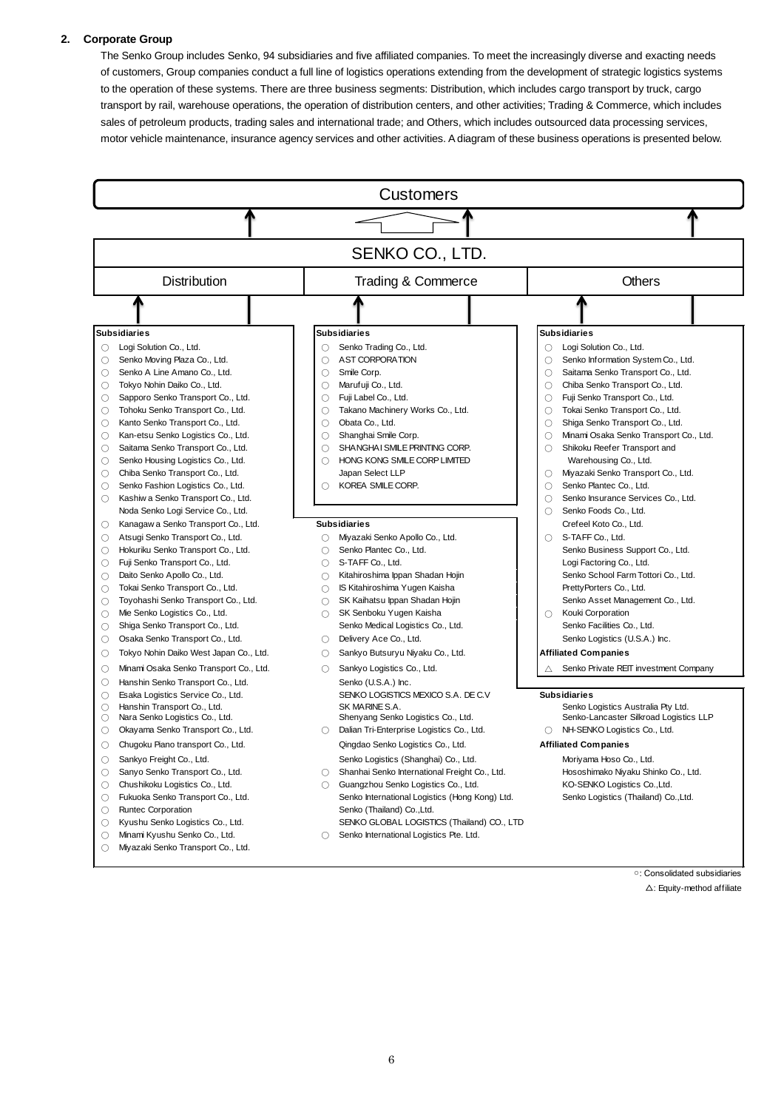#### **2. Corporate Group**

The Senko Group includes Senko, 94 subsidiaries and five affiliated companies. To meet the increasingly diverse and exacting needs of customers, Group companies conduct a full line of logistics operations extending from the development of strategic logistics systems to the operation of these systems. There are three business segments: Distribution, which includes cargo transport by truck, cargo transport by rail, warehouse operations, the operation of distribution centers, and other activities; Trading & Commerce, which includes sales of petroleum products, trading sales and international trade; and Others, which includes outsourced data processing services, motor vehicle maintenance, insurance agency services and other activities. A diagram of these business operations is presented below.



○: Consolidated subsidiaries △: Equity-method affiliate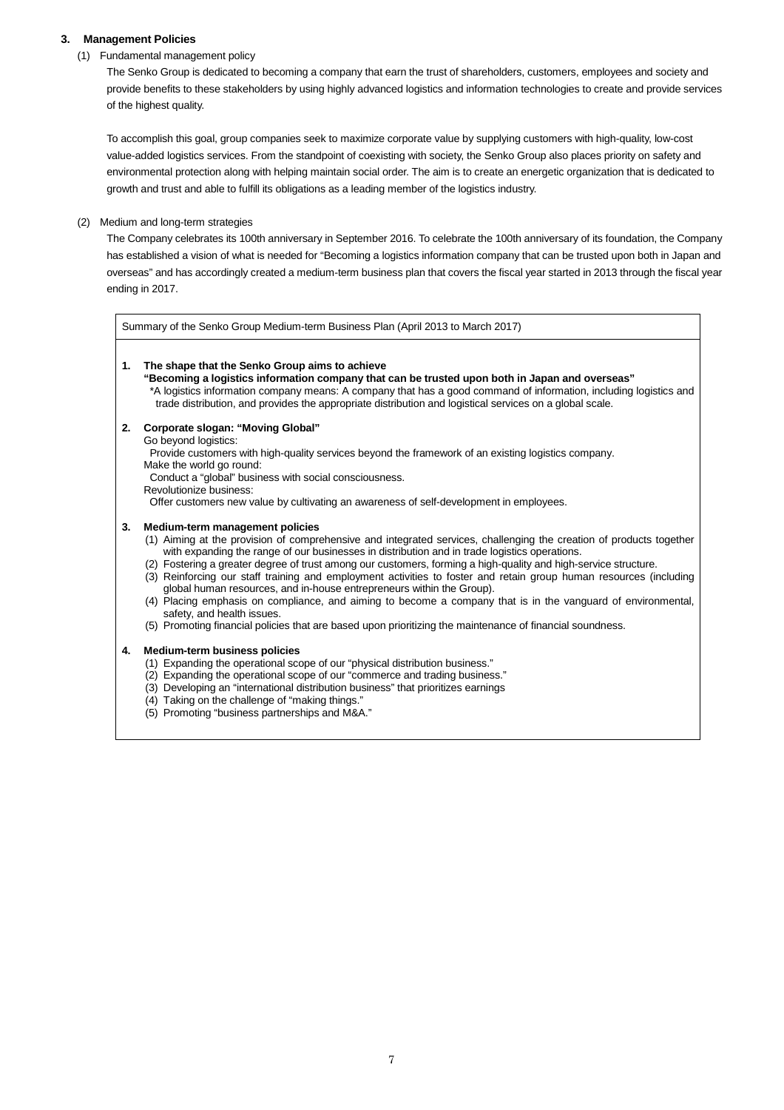## **3. Management Policies**

### (1) Fundamental management policy

The Senko Group is dedicated to becoming a company that earn the trust of shareholders, customers, employees and society and provide benefits to these stakeholders by using highly advanced logistics and information technologies to create and provide services of the highest quality.

To accomplish this goal, group companies seek to maximize corporate value by supplying customers with high-quality, low-cost value-added logistics services. From the standpoint of coexisting with society, the Senko Group also places priority on safety and environmental protection along with helping maintain social order. The aim is to create an energetic organization that is dedicated to growth and trust and able to fulfill its obligations as a leading member of the logistics industry.

#### (2) Medium and long-term strategies

The Company celebrates its 100th anniversary in September 2016. To celebrate the 100th anniversary of its foundation, the Company has established a vision of what is needed for "Becoming a logistics information company that can be trusted upon both in Japan and overseas" and has accordingly created a medium-term business plan that covers the fiscal year started in 2013 through the fiscal year ending in 2017.

Summary of the Senko Group Medium-term Business Plan (April 2013 to March 2017)

#### **1. The shape that the Senko Group aims to achieve**

**"Becoming a logistics information company that can be trusted upon both in Japan and overseas"** \*A logistics information company means: A company that has a good command of information, including logistics and trade distribution, and provides the appropriate distribution and logistical services on a global scale.

#### **2. Corporate slogan: "Moving Global"**

Go beyond logistics:

Provide customers with high-quality services beyond the framework of an existing logistics company. Make the world go round:

Conduct a "global" business with social consciousness.

Revolutionize business:

Offer customers new value by cultivating an awareness of self-development in employees.

#### **3. Medium-term management policies**

(1) Aiming at the provision of comprehensive and integrated services, challenging the creation of products together with expanding the range of our businesses in distribution and in trade logistics operations.

- (2) Fostering a greater degree of trust among our customers, forming a high-quality and high-service structure.
- (3) Reinforcing our staff training and employment activities to foster and retain group human resources (including global human resources, and in-house entrepreneurs within the Group).
- (4) Placing emphasis on compliance, and aiming to become a company that is in the vanguard of environmental, safety, and health issues.
- (5) Promoting financial policies that are based upon prioritizing the maintenance of financial soundness.

#### **4. Medium-term business policies**

- (1) Expanding the operational scope of our "physical distribution business."
- (2) Expanding the operational scope of our "commerce and trading business."
- (3) Developing an "international distribution business" that prioritizes earnings
- (4) Taking on the challenge of "making things."
- (5) Promoting "business partnerships and M&A."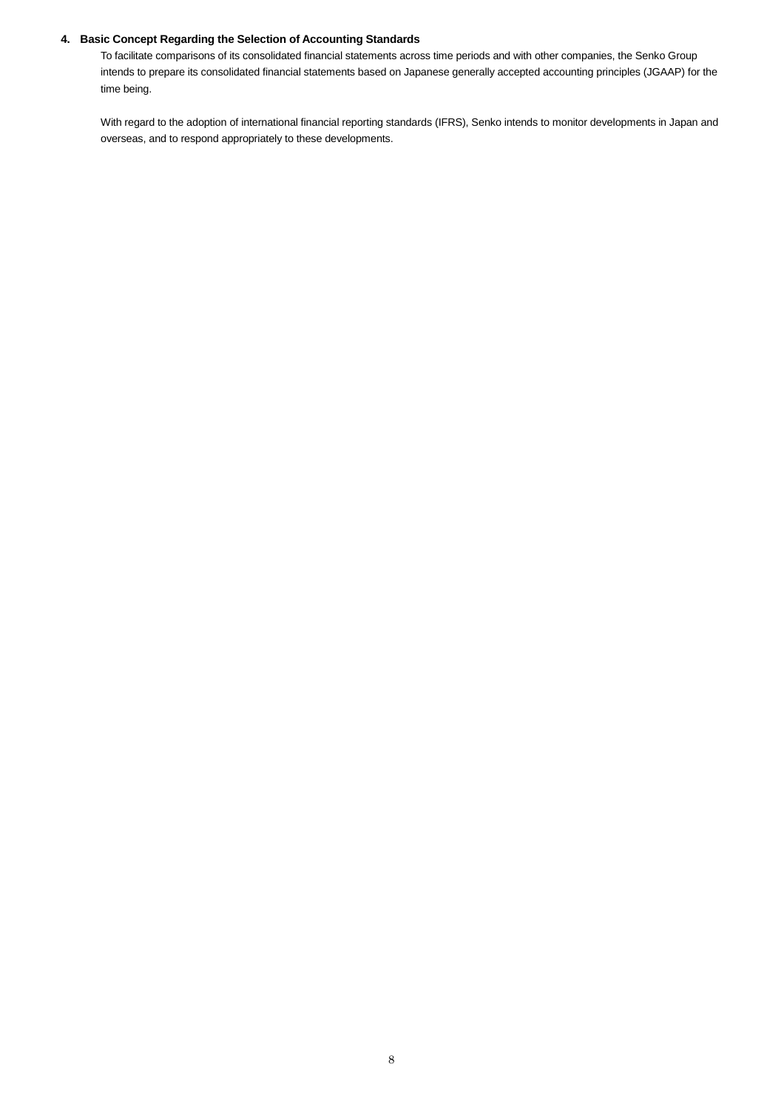## **4. Basic Concept Regarding the Selection of Accounting Standards**

To facilitate comparisons of its consolidated financial statements across time periods and with other companies, the Senko Group intends to prepare its consolidated financial statements based on Japanese generally accepted accounting principles (JGAAP) for the time being.

With regard to the adoption of international financial reporting standards (IFRS), Senko intends to monitor developments in Japan and overseas, and to respond appropriately to these developments.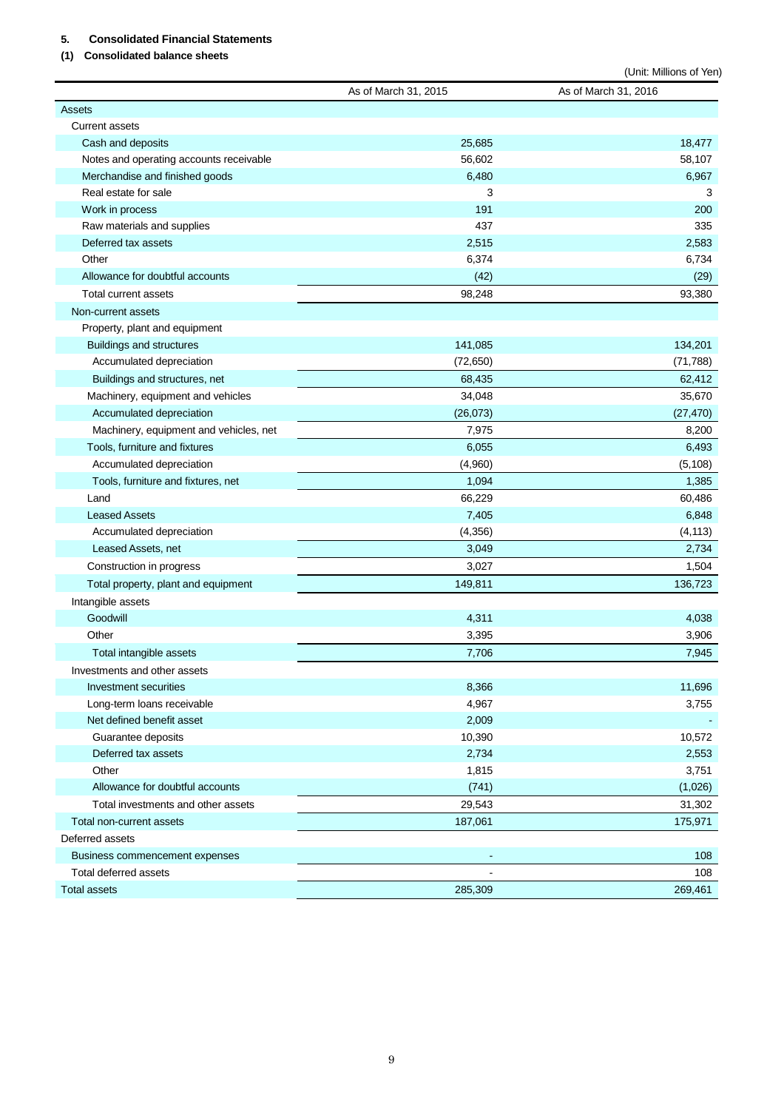# **5. Consolidated Financial Statements**

**(1) Consolidated balance sheets**

|                                                         |                      | (Unit: Millions of Yen) |
|---------------------------------------------------------|----------------------|-------------------------|
|                                                         | As of March 31, 2015 | As of March 31, 2016    |
| Assets                                                  |                      |                         |
| <b>Current assets</b>                                   |                      |                         |
| Cash and deposits                                       | 25,685               | 18,477                  |
| Notes and operating accounts receivable                 | 56,602               | 58,107                  |
| Merchandise and finished goods                          | 6,480                | 6,967                   |
| Real estate for sale                                    | 3                    | 3                       |
| Work in process                                         | 191                  | 200                     |
| Raw materials and supplies                              | 437                  | 335                     |
| Deferred tax assets                                     | 2,515                | 2,583                   |
| Other                                                   | 6,374                | 6,734                   |
| Allowance for doubtful accounts                         | (42)                 | (29)                    |
| <b>Total current assets</b>                             | 98,248               | 93,380                  |
| Non-current assets                                      |                      |                         |
| Property, plant and equipment                           |                      |                         |
| <b>Buildings and structures</b>                         | 141,085              | 134,201                 |
| Accumulated depreciation                                | (72, 650)            | (71, 788)               |
| Buildings and structures, net                           | 68,435               | 62,412                  |
| Machinery, equipment and vehicles                       | 34,048               | 35,670                  |
| Accumulated depreciation                                | (26,073)             | (27, 470)               |
| Machinery, equipment and vehicles, net                  | 7,975                | 8,200                   |
| Tools, furniture and fixtures                           | 6,055                | 6,493                   |
| Accumulated depreciation                                | (4,960)              | (5, 108)                |
| Tools, furniture and fixtures, net                      | 1,094                | 1,385                   |
| Land                                                    | 66,229               | 60,486                  |
| <b>Leased Assets</b>                                    | 7,405                | 6,848                   |
| Accumulated depreciation                                | (4, 356)             | (4, 113)                |
| Leased Assets, net                                      | 3,049                | 2,734                   |
| Construction in progress                                | 3,027                | 1,504                   |
| Total property, plant and equipment                     | 149,811              | 136,723                 |
| Intangible assets                                       |                      |                         |
| Goodwill                                                | 4,311                | 4,038                   |
| Other                                                   | 3,395                | 3,906                   |
| Total intangible assets                                 | 7,706                | 7,945                   |
| Investments and other assets                            |                      |                         |
| Investment securities                                   | 8,366                | 11,696                  |
| Long-term loans receivable                              | 4,967                | 3,755                   |
| Net defined benefit asset                               | 2,009                |                         |
| Guarantee deposits                                      | 10,390               | 10,572                  |
| Deferred tax assets                                     | 2,734                | 2,553                   |
| Other                                                   | 1,815                | 3,751                   |
| Allowance for doubtful accounts                         | (741)                | (1,026)                 |
| Total investments and other assets                      | 29,543               | 31,302                  |
| Total non-current assets                                | 187,061              | 175,971                 |
| Deferred assets                                         |                      |                         |
|                                                         | ٠                    | 108                     |
| Business commencement expenses<br>Total deferred assets |                      |                         |
|                                                         |                      | 108                     |
| <b>Total assets</b>                                     | 285,309              | 269,461                 |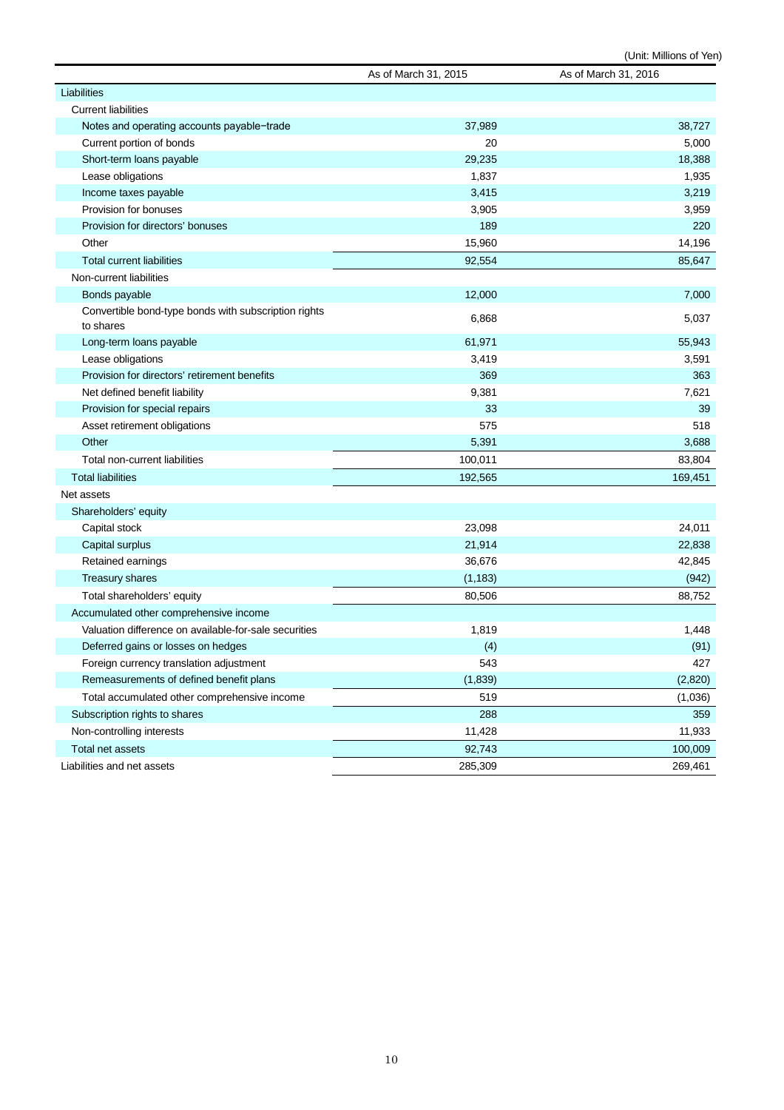|                                                                   | As of March 31, 2015 | As of March 31, 2016 |
|-------------------------------------------------------------------|----------------------|----------------------|
| Liabilities                                                       |                      |                      |
| <b>Current liabilities</b>                                        |                      |                      |
| Notes and operating accounts payable-trade                        | 37,989               | 38,727               |
| Current portion of bonds                                          | 20                   | 5,000                |
| Short-term loans payable                                          | 29,235               | 18,388               |
| Lease obligations                                                 | 1,837                | 1,935                |
| Income taxes payable                                              | 3,415                | 3,219                |
| Provision for bonuses                                             | 3,905                | 3,959                |
| Provision for directors' bonuses                                  | 189                  | 220                  |
| Other                                                             | 15,960               | 14,196               |
| <b>Total current liabilities</b>                                  | 92,554               | 85,647               |
| Non-current liabilities                                           |                      |                      |
| Bonds payable                                                     | 12,000               | 7,000                |
| Convertible bond-type bonds with subscription rights<br>to shares | 6,868                | 5,037                |
| Long-term loans payable                                           | 61,971               | 55,943               |
| Lease obligations                                                 | 3,419                | 3,591                |
| Provision for directors' retirement benefits                      | 369                  | 363                  |
| Net defined benefit liability                                     | 9,381                | 7,621                |
| Provision for special repairs                                     | 33                   | 39                   |
| Asset retirement obligations                                      | 575                  | 518                  |
| Other                                                             | 5,391                | 3,688                |
| Total non-current liabilities                                     | 100,011              | 83,804               |
| <b>Total liabilities</b>                                          | 192,565              | 169,451              |
| Net assets                                                        |                      |                      |
| Shareholders' equity                                              |                      |                      |
| Capital stock                                                     | 23,098               | 24,011               |
| Capital surplus                                                   | 21,914               | 22,838               |
| Retained earnings                                                 | 36,676               | 42,845               |
| <b>Treasury shares</b>                                            | (1, 183)             | (942)                |
| Total shareholders' equity                                        | 80,506               | 88,752               |
| Accumulated other comprehensive income                            |                      |                      |
| Valuation difference on available-for-sale securities             | 1,819                | 1,448                |
| Deferred gains or losses on hedges                                | (4)                  | (91)                 |
| Foreign currency translation adjustment                           | 543                  | 427                  |
| Remeasurements of defined benefit plans                           | (1,839)              | (2,820)              |
| Total accumulated other comprehensive income                      | 519                  | (1,036)              |
| Subscription rights to shares                                     | 288                  | 359                  |
| Non-controlling interests                                         | 11,428               | 11,933               |
| Total net assets                                                  | 92,743               | 100,009              |
| Liabilities and net assets                                        | 285,309              | 269,461              |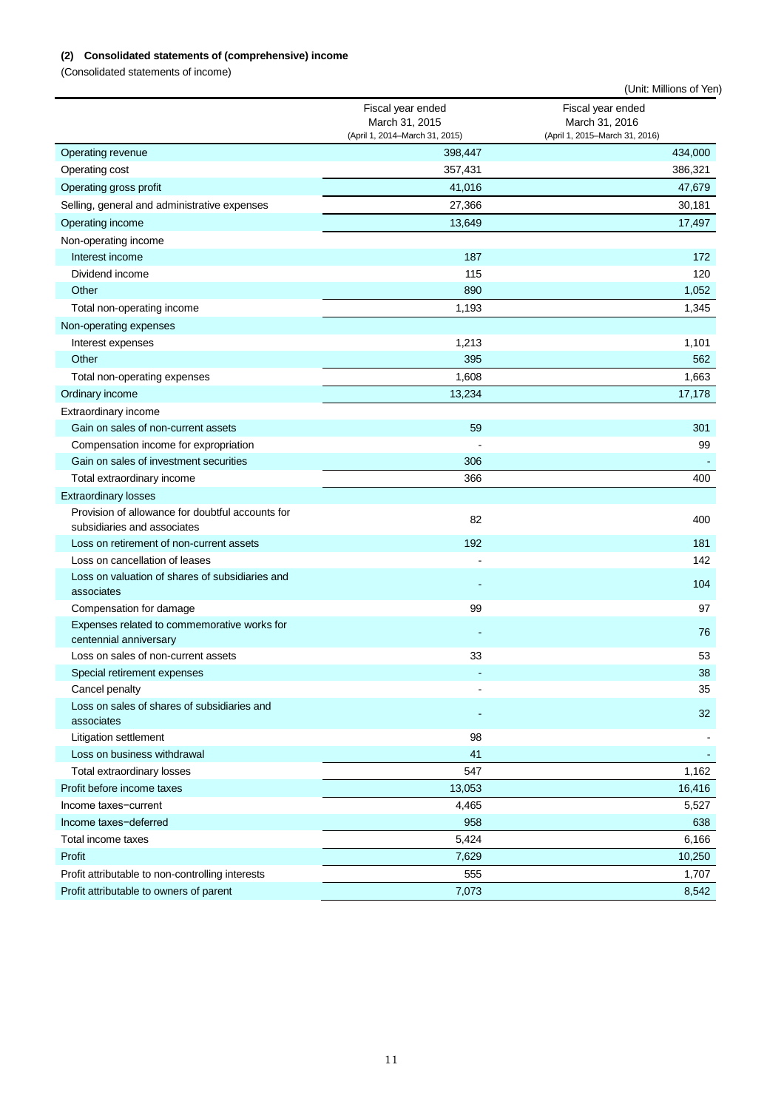# **(2) Consolidated statements of (comprehensive) income**

(Consolidated statements of income)

|                                                                                 |                                                                       | (Unit: Millions of Yen)                                               |
|---------------------------------------------------------------------------------|-----------------------------------------------------------------------|-----------------------------------------------------------------------|
|                                                                                 | Fiscal year ended<br>March 31, 2015<br>(April 1, 2014-March 31, 2015) | Fiscal year ended<br>March 31, 2016<br>(April 1, 2015-March 31, 2016) |
| Operating revenue                                                               | 398,447                                                               | 434,000                                                               |
| Operating cost                                                                  | 357,431                                                               | 386,321                                                               |
| Operating gross profit                                                          | 41,016                                                                | 47,679                                                                |
| Selling, general and administrative expenses                                    | 27,366                                                                | 30,181                                                                |
| Operating income                                                                | 13,649                                                                | 17,497                                                                |
| Non-operating income                                                            |                                                                       |                                                                       |
| Interest income                                                                 | 187                                                                   | 172                                                                   |
| Dividend income                                                                 | 115                                                                   | 120                                                                   |
| Other                                                                           | 890                                                                   | 1,052                                                                 |
| Total non-operating income                                                      | 1,193                                                                 | 1,345                                                                 |
| Non-operating expenses                                                          |                                                                       |                                                                       |
| Interest expenses                                                               | 1,213                                                                 | 1,101                                                                 |
| Other                                                                           | 395                                                                   | 562                                                                   |
| Total non-operating expenses                                                    | 1,608                                                                 | 1,663                                                                 |
| Ordinary income                                                                 | 13,234                                                                | 17,178                                                                |
| Extraordinary income                                                            |                                                                       |                                                                       |
| Gain on sales of non-current assets                                             | 59                                                                    | 301                                                                   |
| Compensation income for expropriation                                           |                                                                       | 99                                                                    |
| Gain on sales of investment securities                                          | 306                                                                   |                                                                       |
| Total extraordinary income                                                      | 366                                                                   | 400                                                                   |
| <b>Extraordinary losses</b>                                                     |                                                                       |                                                                       |
| Provision of allowance for doubtful accounts for<br>subsidiaries and associates | 82                                                                    | 400                                                                   |
| Loss on retirement of non-current assets                                        | 192                                                                   | 181                                                                   |
| Loss on cancellation of leases                                                  |                                                                       | 142                                                                   |
| Loss on valuation of shares of subsidiaries and<br>associates                   |                                                                       | 104                                                                   |
| Compensation for damage                                                         | 99                                                                    | 97                                                                    |
| Expenses related to commemorative works for<br>centennial anniversary           |                                                                       | 76                                                                    |
| Loss on sales of non-current assets                                             | 33                                                                    | 53                                                                    |
| Special retirement expenses                                                     |                                                                       | 38                                                                    |
| Cancel penalty                                                                  |                                                                       | 35                                                                    |
| Loss on sales of shares of subsidiaries and<br>associates                       |                                                                       | 32                                                                    |
| <b>Litigation settlement</b>                                                    | 98                                                                    |                                                                       |
| Loss on business withdrawal                                                     | 41                                                                    |                                                                       |
| Total extraordinary losses                                                      | 547                                                                   | 1,162                                                                 |
| Profit before income taxes                                                      | 13,053                                                                | 16,416                                                                |
| Income taxes-current                                                            | 4,465                                                                 | 5,527                                                                 |
| Income taxes-deferred                                                           | 958                                                                   | 638                                                                   |
| Total income taxes                                                              | 5,424                                                                 | 6,166                                                                 |
| Profit                                                                          | 7,629                                                                 | 10,250                                                                |
| Profit attributable to non-controlling interests                                | 555                                                                   | 1,707                                                                 |
| Profit attributable to owners of parent                                         | 7,073                                                                 | 8,542                                                                 |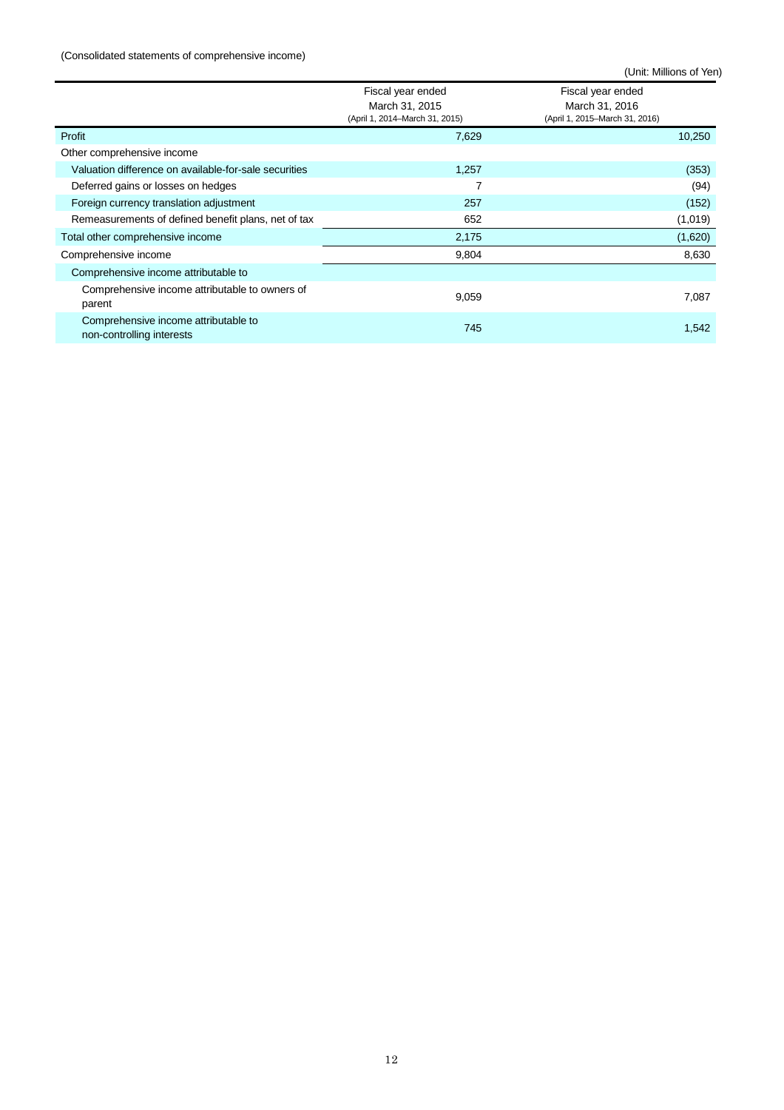### (Consolidated statements of comprehensive income)

|                                                                   | Fiscal year ended<br>March 31, 2015<br>(April 1, 2014–March 31, 2015) | Fiscal year ended<br>March 31, 2016<br>(April 1, 2015–March 31, 2016) |
|-------------------------------------------------------------------|-----------------------------------------------------------------------|-----------------------------------------------------------------------|
| Profit                                                            | 7,629                                                                 | 10,250                                                                |
| Other comprehensive income                                        |                                                                       |                                                                       |
| Valuation difference on available-for-sale securities             | 1,257                                                                 | (353)                                                                 |
| Deferred gains or losses on hedges                                |                                                                       | (94)                                                                  |
| Foreign currency translation adjustment                           | 257                                                                   | (152)                                                                 |
| Remeasurements of defined benefit plans, net of tax               | 652                                                                   | (1,019)                                                               |
| Total other comprehensive income                                  | 2,175                                                                 | (1,620)                                                               |
| Comprehensive income                                              | 9,804                                                                 | 8,630                                                                 |
| Comprehensive income attributable to                              |                                                                       |                                                                       |
| Comprehensive income attributable to owners of<br>parent          | 9,059                                                                 | 7,087                                                                 |
| Comprehensive income attributable to<br>non-controlling interests | 745                                                                   | 1,542                                                                 |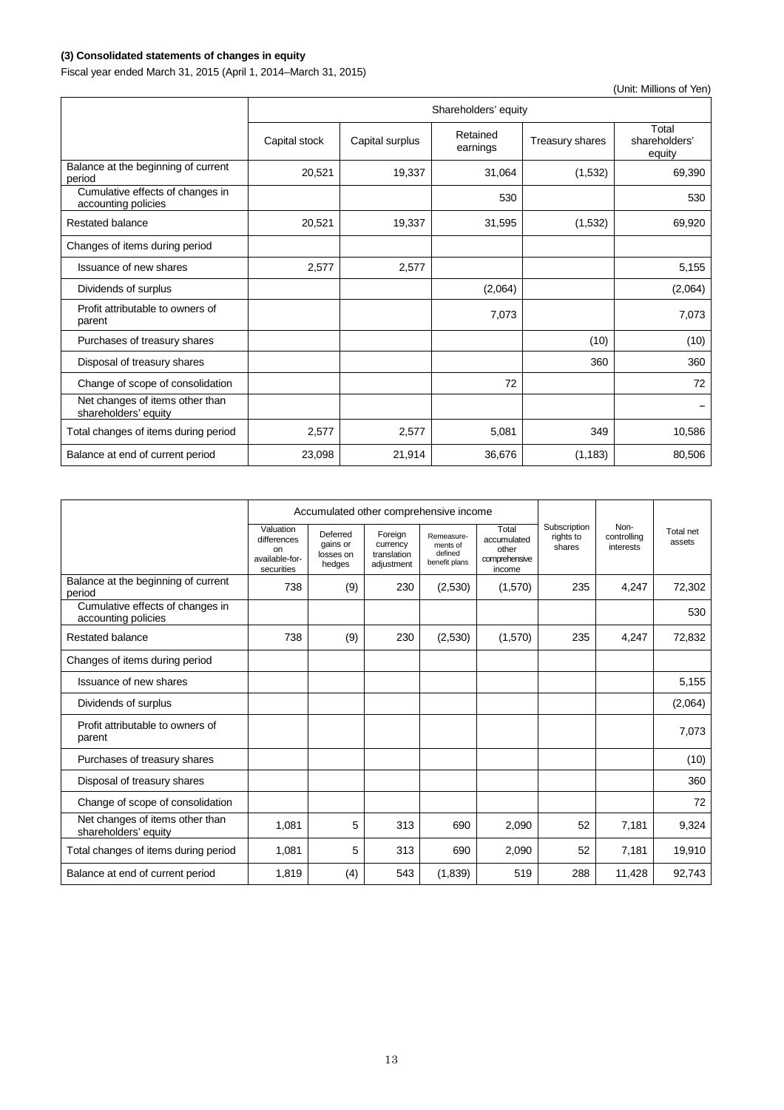# **(3) Consolidated statements of changes in equity**

Fiscal year ended March 31, 2015 (April 1, 2014–March 31, 2015)

|                                                         | Shareholders' equity |                 |                      |                 |                                  |  |  |  |
|---------------------------------------------------------|----------------------|-----------------|----------------------|-----------------|----------------------------------|--|--|--|
|                                                         | Capital stock        | Capital surplus | Retained<br>earnings | Treasury shares | Total<br>shareholders'<br>equity |  |  |  |
| Balance at the beginning of current<br>period           | 20,521               | 19,337          | 31,064               | (1, 532)        | 69,390                           |  |  |  |
| Cumulative effects of changes in<br>accounting policies |                      |                 | 530                  |                 | 530                              |  |  |  |
| <b>Restated balance</b>                                 | 20,521               | 19,337          | 31,595               | (1,532)         | 69,920                           |  |  |  |
| Changes of items during period                          |                      |                 |                      |                 |                                  |  |  |  |
| Issuance of new shares                                  | 2,577                | 2,577           |                      |                 | 5,155                            |  |  |  |
| Dividends of surplus                                    |                      |                 | (2,064)              |                 | (2,064)                          |  |  |  |
| Profit attributable to owners of<br>parent              |                      |                 | 7,073                |                 | 7,073                            |  |  |  |
| Purchases of treasury shares                            |                      |                 |                      | (10)            | (10)                             |  |  |  |
| Disposal of treasury shares                             |                      |                 |                      | 360             | 360                              |  |  |  |
| Change of scope of consolidation                        |                      |                 | 72                   |                 | 72                               |  |  |  |
| Net changes of items other than<br>shareholders' equity |                      |                 |                      |                 |                                  |  |  |  |
| Total changes of items during period                    | 2,577                | 2,577           | 5,081                | 349             | 10,586                           |  |  |  |
| Balance at end of current period                        | 23,098               | 21,914          | 36,676               | (1, 183)        | 80,506                           |  |  |  |

|                                                         | Accumulated other comprehensive income                         |                                             |                                                  |                                                    |                                                          |                                     |                                  |                     |
|---------------------------------------------------------|----------------------------------------------------------------|---------------------------------------------|--------------------------------------------------|----------------------------------------------------|----------------------------------------------------------|-------------------------------------|----------------------------------|---------------------|
|                                                         | Valuation<br>differences<br>on<br>available-for-<br>securities | Deferred<br>gains or<br>losses on<br>hedges | Foreign<br>currency<br>translation<br>adjustment | Remeasure-<br>ments of<br>defined<br>benefit plans | Total<br>accumulated<br>other<br>comprehensive<br>income | Subscription<br>rights to<br>shares | Non-<br>controlling<br>interests | Total net<br>assets |
| Balance at the beginning of current<br>period           | 738                                                            | (9)                                         | 230                                              | (2,530)                                            | (1,570)                                                  | 235                                 | 4,247                            | 72,302              |
| Cumulative effects of changes in<br>accounting policies |                                                                |                                             |                                                  |                                                    |                                                          |                                     |                                  | 530                 |
| <b>Restated balance</b>                                 | 738                                                            | (9)                                         | 230                                              | (2,530)                                            | (1,570)                                                  | 235                                 | 4,247                            | 72,832              |
| Changes of items during period                          |                                                                |                                             |                                                  |                                                    |                                                          |                                     |                                  |                     |
| <b>Issuance of new shares</b>                           |                                                                |                                             |                                                  |                                                    |                                                          |                                     |                                  | 5,155               |
| Dividends of surplus                                    |                                                                |                                             |                                                  |                                                    |                                                          |                                     |                                  | (2,064)             |
| Profit attributable to owners of<br>parent              |                                                                |                                             |                                                  |                                                    |                                                          |                                     |                                  | 7,073               |
| Purchases of treasury shares                            |                                                                |                                             |                                                  |                                                    |                                                          |                                     |                                  | (10)                |
| Disposal of treasury shares                             |                                                                |                                             |                                                  |                                                    |                                                          |                                     |                                  | 360                 |
| Change of scope of consolidation                        |                                                                |                                             |                                                  |                                                    |                                                          |                                     |                                  | 72                  |
| Net changes of items other than<br>shareholders' equity | 1,081                                                          | 5                                           | 313                                              | 690                                                | 2,090                                                    | 52                                  | 7,181                            | 9,324               |
| Total changes of items during period                    | 1,081                                                          | 5                                           | 313                                              | 690                                                | 2,090                                                    | 52                                  | 7,181                            | 19,910              |
| Balance at end of current period                        | 1,819                                                          | (4)                                         | 543                                              | (1,839)                                            | 519                                                      | 288                                 | 11,428                           | 92,743              |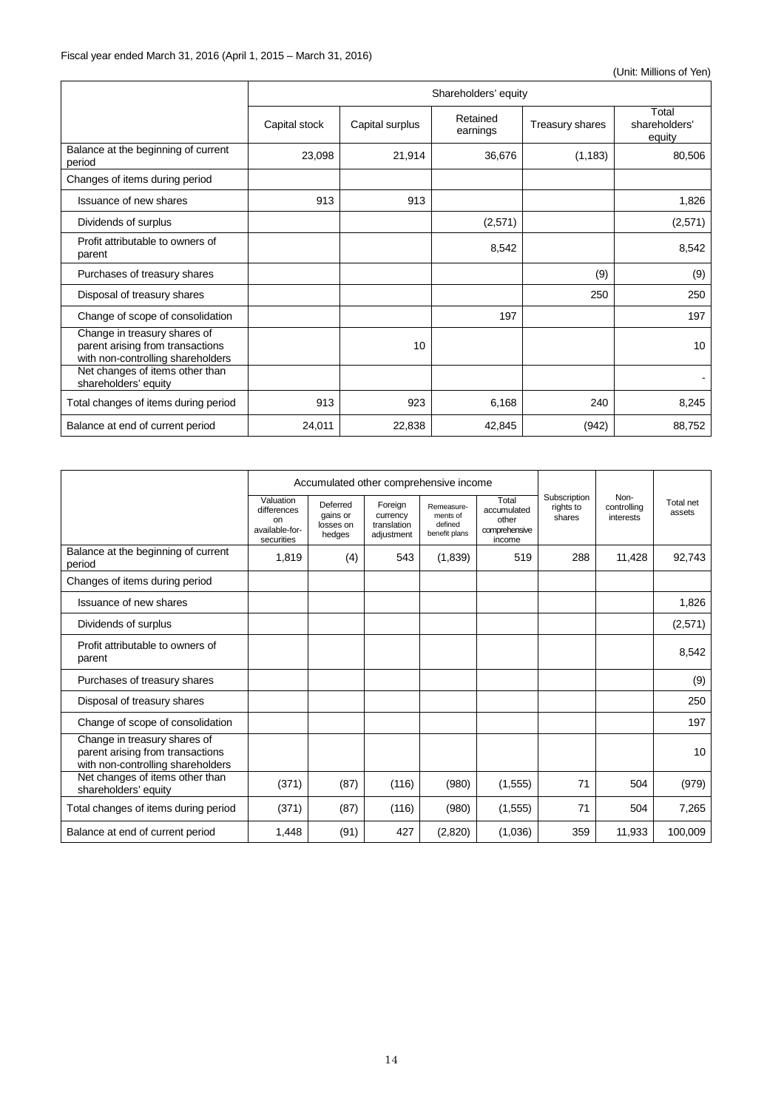|                                                                                                       | Shareholders' equity |                 |                      |                 |                                  |  |  |  |
|-------------------------------------------------------------------------------------------------------|----------------------|-----------------|----------------------|-----------------|----------------------------------|--|--|--|
|                                                                                                       | Capital stock        | Capital surplus | Retained<br>earnings | Treasury shares | Total<br>shareholders'<br>equity |  |  |  |
| Balance at the beginning of current<br>period                                                         | 23,098               | 21,914          | 36,676               | (1, 183)        | 80,506                           |  |  |  |
| Changes of items during period                                                                        |                      |                 |                      |                 |                                  |  |  |  |
| <b>Issuance of new shares</b>                                                                         | 913                  | 913             |                      |                 | 1,826                            |  |  |  |
| Dividends of surplus                                                                                  |                      |                 | (2,571)              |                 | (2,571)                          |  |  |  |
| Profit attributable to owners of<br>parent                                                            |                      |                 | 8,542                |                 | 8,542                            |  |  |  |
| Purchases of treasury shares                                                                          |                      |                 |                      | (9)             | (9)                              |  |  |  |
| Disposal of treasury shares                                                                           |                      |                 |                      | 250             | 250                              |  |  |  |
| Change of scope of consolidation                                                                      |                      |                 | 197                  |                 | 197                              |  |  |  |
| Change in treasury shares of<br>parent arising from transactions<br>with non-controlling shareholders |                      | 10              |                      |                 | 10                               |  |  |  |
| Net changes of items other than<br>shareholders' equity                                               |                      |                 |                      |                 |                                  |  |  |  |
| Total changes of items during period                                                                  | 913                  | 923             | 6,168                | 240             | 8,245                            |  |  |  |
| Balance at end of current period                                                                      | 24,011               | 22,838          | 42,845               | (942)           | 88,752                           |  |  |  |

|                                                                                                       |                                                                |                                             | Accumulated other comprehensive income           |                                                    |                                                          |                                     |                                  |                     |
|-------------------------------------------------------------------------------------------------------|----------------------------------------------------------------|---------------------------------------------|--------------------------------------------------|----------------------------------------------------|----------------------------------------------------------|-------------------------------------|----------------------------------|---------------------|
|                                                                                                       | Valuation<br>differences<br>on<br>available-for-<br>securities | Deferred<br>gains or<br>losses on<br>hedges | Foreign<br>currency<br>translation<br>adjustment | Remeasure-<br>ments of<br>defined<br>benefit plans | Total<br>accumulated<br>other<br>comprehensive<br>income | Subscription<br>rights to<br>shares | Non-<br>controlling<br>interests | Total net<br>assets |
| Balance at the beginning of current<br>period                                                         | 1,819                                                          | (4)                                         | 543                                              | (1,839)                                            | 519                                                      | 288                                 | 11,428                           | 92,743              |
| Changes of items during period                                                                        |                                                                |                                             |                                                  |                                                    |                                                          |                                     |                                  |                     |
| Issuance of new shares                                                                                |                                                                |                                             |                                                  |                                                    |                                                          |                                     |                                  | 1,826               |
| Dividends of surplus                                                                                  |                                                                |                                             |                                                  |                                                    |                                                          |                                     |                                  | (2,571)             |
| Profit attributable to owners of<br>parent                                                            |                                                                |                                             |                                                  |                                                    |                                                          |                                     |                                  | 8,542               |
| Purchases of treasury shares                                                                          |                                                                |                                             |                                                  |                                                    |                                                          |                                     |                                  | (9)                 |
| Disposal of treasury shares                                                                           |                                                                |                                             |                                                  |                                                    |                                                          |                                     |                                  | 250                 |
| Change of scope of consolidation                                                                      |                                                                |                                             |                                                  |                                                    |                                                          |                                     |                                  | 197                 |
| Change in treasury shares of<br>parent arising from transactions<br>with non-controlling shareholders |                                                                |                                             |                                                  |                                                    |                                                          |                                     |                                  | 10                  |
| Net changes of items other than<br>shareholders' equity                                               | (371)                                                          | (87)                                        | (116)                                            | (980)                                              | (1, 555)                                                 | 71                                  | 504                              | (979)               |
| Total changes of items during period                                                                  | (371)                                                          | (87)                                        | (116)                                            | (980)                                              | (1, 555)                                                 | 71                                  | 504                              | 7,265               |
| Balance at end of current period                                                                      | 1,448                                                          | (91)                                        | 427                                              | (2,820)                                            | (1,036)                                                  | 359                                 | 11,933                           | 100,009             |